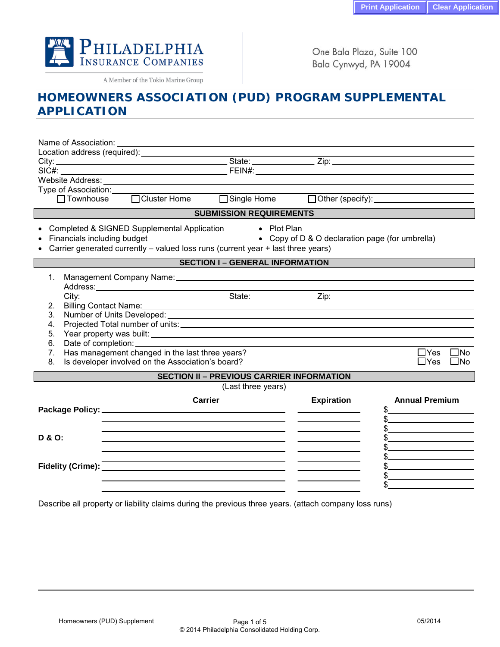

A Member of the Tokio Marine Group

One Bala Plaza, Suite 100 Bala Cynwyd, PA 19004

## **HOMEOWNERS ASSOCIATION (PUD) PROGRAM SUPPLEMENTAL APPLICATION**

| Name of Association:                             |                                                                                                                                                                                                                                          | <u> 1980 - Johann Stein, mars an deus Amerikaansk kommunister (</u> |                   |                            |  |  |  |
|--------------------------------------------------|------------------------------------------------------------------------------------------------------------------------------------------------------------------------------------------------------------------------------------------|---------------------------------------------------------------------|-------------------|----------------------------|--|--|--|
|                                                  |                                                                                                                                                                                                                                          |                                                                     |                   |                            |  |  |  |
|                                                  | City: City: City: City: City: City: City: City: City: City: City: City: City: City: City: City: City: City: City: City: City: City: City: City: City: City: City: City: City: City: City: City: City: City: City: City: City:            |                                                                     |                   |                            |  |  |  |
|                                                  |                                                                                                                                                                                                                                          |                                                                     |                   |                            |  |  |  |
|                                                  | Website Address: <u>with a series of the series of the series of the series of the series of the series of the series of the series of the series of the series of the series of the series of the series of the series of the s</u>     |                                                                     |                   |                            |  |  |  |
|                                                  | Type of Association:<br>□ Townhouse □ Cluster Home □ Single Home □ Other (specify):                                                                                                                                                      |                                                                     |                   |                            |  |  |  |
|                                                  |                                                                                                                                                                                                                                          |                                                                     |                   |                            |  |  |  |
|                                                  |                                                                                                                                                                                                                                          | <b>SUBMISSION REQUIREMENTS</b>                                      |                   |                            |  |  |  |
|                                                  | Completed & SIGNED Supplemental Application<br>$\bullet$ Plot Plan<br>• Copy of D & O declaration page (for umbrella)<br>Financials including budget<br>Carrier generated currently - valued loss runs (current year + last three years) |                                                                     |                   |                            |  |  |  |
|                                                  |                                                                                                                                                                                                                                          | <b>SECTION I - GENERAL INFORMATION</b>                              |                   |                            |  |  |  |
| 1.                                               |                                                                                                                                                                                                                                          |                                                                     |                   |                            |  |  |  |
|                                                  |                                                                                                                                                                                                                                          |                                                                     |                   |                            |  |  |  |
|                                                  |                                                                                                                                                                                                                                          |                                                                     |                   |                            |  |  |  |
| 2 <sub>1</sub>                                   | Billing Contact Name: 1997                                                                                                                                                                                                               |                                                                     |                   |                            |  |  |  |
| 3.                                               | Number of Units Developed: 1999 Contract Contract Contract Contract Contract Contract Contract Contract Contract Contract Contract Contract Contract Contract Contract Contract Contract Contract Contract Contract Contract C           |                                                                     |                   |                            |  |  |  |
| 4.                                               |                                                                                                                                                                                                                                          |                                                                     |                   |                            |  |  |  |
| 5.                                               |                                                                                                                                                                                                                                          |                                                                     |                   |                            |  |  |  |
| 6.<br>7.                                         | Date of completion: ____________<br>Has management changed in the last three years?                                                                                                                                                      |                                                                     |                   | $\Box$ Yes<br>$\square$ No |  |  |  |
| 8.                                               | Is developer involved on the Association's board?                                                                                                                                                                                        |                                                                     |                   | $\Box$ Yes<br>$\square$ No |  |  |  |
| <b>SECTION II - PREVIOUS CARRIER INFORMATION</b> |                                                                                                                                                                                                                                          |                                                                     |                   |                            |  |  |  |
|                                                  |                                                                                                                                                                                                                                          | (Last three years)                                                  |                   |                            |  |  |  |
|                                                  |                                                                                                                                                                                                                                          | Carrier                                                             | <b>Expiration</b> | <b>Annual Premium</b>      |  |  |  |
|                                                  |                                                                                                                                                                                                                                          |                                                                     |                   | $\frac{1}{2}$              |  |  |  |
|                                                  |                                                                                                                                                                                                                                          |                                                                     |                   | $\frac{1}{2}$              |  |  |  |
|                                                  |                                                                                                                                                                                                                                          |                                                                     |                   | $\frac{1}{2}$              |  |  |  |
| D & O:                                           |                                                                                                                                                                                                                                          |                                                                     |                   |                            |  |  |  |
|                                                  |                                                                                                                                                                                                                                          | <u> 1989 - Johann Stoff, amerikansk politiker (d. 1989)</u>         |                   | $\sim$                     |  |  |  |
|                                                  |                                                                                                                                                                                                                                          |                                                                     |                   | $\mathbb{S}$               |  |  |  |
|                                                  |                                                                                                                                                                                                                                          |                                                                     |                   |                            |  |  |  |
|                                                  |                                                                                                                                                                                                                                          |                                                                     |                   | $\mathbb S$                |  |  |  |
|                                                  |                                                                                                                                                                                                                                          |                                                                     |                   |                            |  |  |  |

Describe all property or liability claims during the previous three years. (attach company loss runs)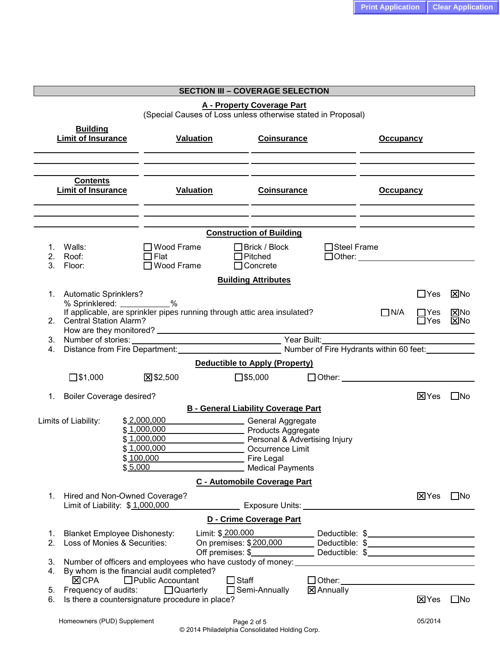|                                                                                 |                                                                                          |                                                                                                                                                                  |                    | <b>Print Application</b>                   |                            | <b>Clear Application</b>      |
|---------------------------------------------------------------------------------|------------------------------------------------------------------------------------------|------------------------------------------------------------------------------------------------------------------------------------------------------------------|--------------------|--------------------------------------------|----------------------------|-------------------------------|
|                                                                                 |                                                                                          |                                                                                                                                                                  |                    |                                            |                            |                               |
|                                                                                 |                                                                                          | <b>SECTION III - COVERAGE SELECTION</b>                                                                                                                          |                    |                                            |                            |                               |
|                                                                                 |                                                                                          | <b>A - Property Coverage Part</b><br>(Special Causes of Loss unless otherwise stated in Proposal)                                                                |                    |                                            |                            |                               |
| <b>Building</b><br><b>Limit of Insurance</b>                                    | <b>Valuation</b>                                                                         | <b>Coinsurance</b>                                                                                                                                               |                    | <b>Occupancy</b>                           |                            |                               |
| <b>Contents</b><br><b>Limit of Insurance</b>                                    | <b>Valuation</b>                                                                         | <b>Coinsurance</b>                                                                                                                                               |                    | <b>Occupancy</b>                           |                            |                               |
|                                                                                 |                                                                                          | <b>Construction of Building</b>                                                                                                                                  |                    |                                            |                            |                               |
| 1. Walls:<br>Roof:<br>2.<br>3. Floor:                                           | $\Box$ Wood Frame<br>$\Box$ Flat<br>$\Box$ Wood Frame                                    | $\Box$ Brick / Block<br>$\Box$ Pitched<br>$\Box$ Concrete                                                                                                        | $\Box$ Steel Frame | $\Box$ Other: $\Box$                       |                            |                               |
|                                                                                 |                                                                                          | <b>Building Attributes</b>                                                                                                                                       |                    |                                            |                            |                               |
| 1. Automatic Sprinklers?<br>% Sprinklered: ___________%                         | If applicable, are sprinkler pipes running through attic area insulated?                 |                                                                                                                                                                  |                    | $\Box$ N/A                                 | $\Box$ Yes<br>$\sqcap$ Yes | $\Sigma$ No<br>$\boxtimes$ No |
| 2. Central Station Alarm?                                                       |                                                                                          |                                                                                                                                                                  |                    |                                            | □Yes                       | $\Sigma$ No                   |
| 4.                                                                              | Distance from Fire Department: Number of Fire Hydrants within 60 feet:                   |                                                                                                                                                                  |                    |                                            |                            |                               |
|                                                                                 |                                                                                          | <b>Deductible to Apply (Property)</b>                                                                                                                            |                    |                                            |                            |                               |
| $\square$ \$1,000                                                               | ⊠\$2,500                                                                                 | $\square$ \$5,000                                                                                                                                                |                    | □ Other: <u>__________________________</u> |                            |                               |
| <b>Boiler Coverage desired?</b><br>1.                                           |                                                                                          |                                                                                                                                                                  |                    |                                            | <b>区Yes</b>                | $\square$ No                  |
|                                                                                 |                                                                                          | <b>B - General Liability Coverage Part</b>                                                                                                                       |                    |                                            |                            |                               |
| Limits of Liability:                                                            | \$2,000,000<br>\$1,000,000<br>\$1,000,000<br>\$1,000,000<br>\$100,000<br>\$5,000         | General Aggregate<br>Products Aggregate<br>Personal & Advertising Injury<br>Occurrence Limit<br>Fire Legal                                                       |                    |                                            |                            |                               |
|                                                                                 |                                                                                          | <b>Medical Payments</b><br>C - Automobile Coverage Part                                                                                                          |                    |                                            |                            |                               |
| 1. Hired and Non-Owned Coverage?<br>Limit of Liability: \$1,000,000             |                                                                                          |                                                                                                                                                                  |                    |                                            | <b>X</b> Yes               | $\square$ No                  |
|                                                                                 |                                                                                          | D - Crime Coverage Part                                                                                                                                          |                    |                                            |                            |                               |
| <b>Blanket Employee Dishonesty:</b><br>1.<br>Loss of Monies & Securities:<br>2. |                                                                                          | Limit: \$ 200.000 Deductible: \$<br>On premises: \$200,000 Deductible: \$<br>Off premises: \$_______________________Deductible: \$______________________________ |                    |                                            |                            |                               |
| 3.<br>4.<br><b>区CPA</b>                                                         | By whom is the financial audit completed?<br>$\Box$ Public Accountant                    | $\Box$ Staff                                                                                                                                                     |                    | $\Box$ Other: $\Box$                       |                            |                               |
| 5.<br>6.                                                                        | Frequency of audits: $\Box$ Quarterly<br>Is there a countersignature procedure in place? | $\Box$ Semi-Annually                                                                                                                                             | $\Sigma$ Annually  |                                            | <b>X</b> Yes               | $\square$ No                  |
| Homeowners (PUD) Supplement                                                     |                                                                                          | Page 2 of 5<br>© 2014 Philadelphia Consolidated Holding Corp.                                                                                                    |                    |                                            | 05/2014                    |                               |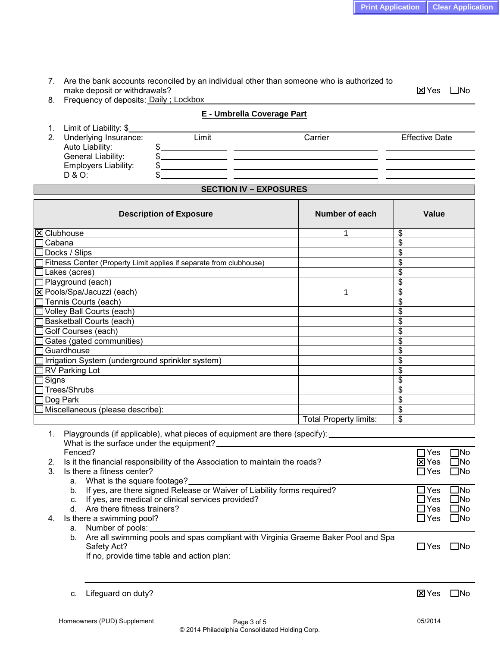7. Are the bank accounts reconciled by an individual other than someone who is authorized to make deposit or withdrawals?  $\boxtimes$  Yes  $\Box$  No

8. Frequency of deposits: Daily ; Lockbox

| $\mathbf{1}$ . | Limit of Liability: \$      |       |         |                       |
|----------------|-----------------------------|-------|---------|-----------------------|
| 2 <sub>1</sub> | Underlying Insurance:       | Limit | Carrier | <b>Effective Date</b> |
|                | Auto Liability:             |       |         |                       |
|                | General Liability:          |       |         |                       |
|                | <b>Employers Liability:</b> |       |         |                       |
|                | D & O:                      |       |         |                       |

**E - Umbrella Coverage Part**

## **SECTION IV – EXPOSURES**

| <b>Description of Exposure</b>                                                                                                      |  | Number of each                |                                  | Value           |              |
|-------------------------------------------------------------------------------------------------------------------------------------|--|-------------------------------|----------------------------------|-----------------|--------------|
| <b>X</b> Clubhouse                                                                                                                  |  | 1                             | \$                               |                 |              |
| Cabana                                                                                                                              |  |                               | \$                               |                 |              |
| Docks / Slips                                                                                                                       |  |                               | $\frac{1}{2}$                    |                 |              |
| Fitness Center (Property Limit applies if separate from clubhouse)                                                                  |  |                               | \$                               |                 |              |
| Lakes (acres)                                                                                                                       |  |                               | $\overline{\mathcal{S}}$         |                 |              |
| Playground (each)                                                                                                                   |  |                               | $\overline{\boldsymbol{\theta}}$ |                 |              |
| X Pools/Spa/Jacuzzi (each)                                                                                                          |  | 1                             | $\overline{\$}$                  |                 |              |
| Tennis Courts (each)                                                                                                                |  |                               | $\overline{\$}$                  |                 |              |
| Volley Ball Courts (each)                                                                                                           |  |                               | $\overline{\boldsymbol{\theta}}$ |                 |              |
| <b>Basketball Courts (each)</b>                                                                                                     |  |                               | \$                               |                 |              |
| Golf Courses (each)                                                                                                                 |  |                               | \$                               |                 |              |
| Gates (gated communities)                                                                                                           |  |                               | $\frac{1}{2}$                    |                 |              |
| Guardhouse                                                                                                                          |  |                               | $\overline{\boldsymbol{\theta}}$ |                 |              |
| Irrigation System (underground sprinkler system)                                                                                    |  |                               | $\overline{\mathcal{S}}$         |                 |              |
| <b>RV Parking Lot</b>                                                                                                               |  |                               | $\overline{\mathcal{E}}$         |                 |              |
| Signs                                                                                                                               |  |                               | $\overline{\$}$                  |                 |              |
| Trees/Shrubs                                                                                                                        |  |                               | $\overline{\$}$                  |                 |              |
| Dog Park                                                                                                                            |  |                               | $\overline{\mathcal{S}}$         |                 |              |
| Miscellaneous (please describe):                                                                                                    |  |                               | \$                               |                 |              |
|                                                                                                                                     |  | <b>Total Property limits:</b> | \$                               |                 |              |
| 1. Playgrounds (if applicable), what pieces of equipment are there (specify): _________<br>What is the surface under the equipment? |  |                               |                                  |                 |              |
| Fenced?                                                                                                                             |  |                               |                                  | $\Box$ Yes      | $\Box$ No    |
| Is it the financial responsibility of the Association to maintain the roads?<br>2.                                                  |  |                               |                                  | $\boxtimes$ Yes | $\square$ No |
| Is there a fitness center?<br>3.                                                                                                    |  |                               | $\sqcap$ Yes                     | $\Box$ No       |              |
| a. What is the square footage?                                                                                                      |  |                               |                                  |                 |              |
| b. If yes, are there signed Release or Waiver of Liability forms required?                                                          |  |                               |                                  | $\Box$ Yes      | $\square$ No |
| c. If yes, are medical or clinical services provided?                                                                               |  |                               |                                  | $\Box$ Yes      | $\square$ No |
| d. Are there fitness trainers?                                                                                                      |  |                               |                                  | $\Box$ Yes      | $\square$ No |
| Is there a swimming pool?<br>4.                                                                                                     |  |                               |                                  | $\Box$ Yes      | $\square$ No |
| a. Number of pools:                                                                                                                 |  |                               |                                  |                 |              |
| b. Are all swimming pools and spas compliant with Virginia Graeme Baker Pool and Spa                                                |  |                               |                                  |                 |              |
| Safety Act?                                                                                                                         |  |                               | $\Box$ Yes                       | $\square$ No    |              |
| If no, provide time table and action plan:                                                                                          |  |                               |                                  |                 |              |
|                                                                                                                                     |  |                               |                                  |                 |              |
|                                                                                                                                     |  |                               |                                  |                 |              |

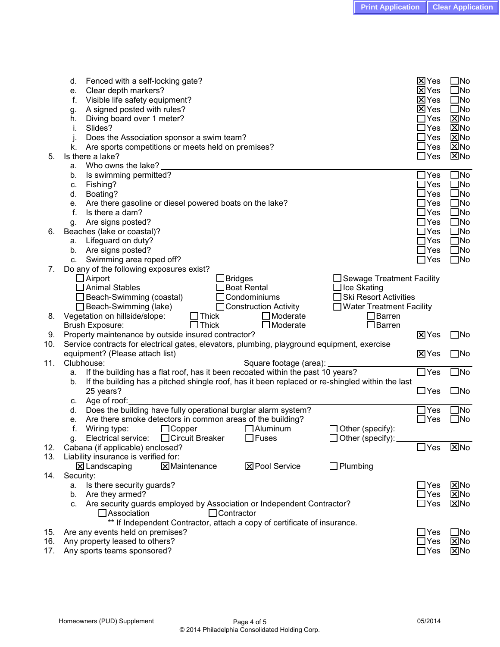| Who owns the lake?<br>а.<br>Is swimming permitted?<br>b.<br>Fishing?<br>c.<br>Boating?<br>d.<br>Are there gasoline or diesel powered boats on the lake?<br>е.<br>f.<br>Is there a dam?<br>Are signs posted?<br>g.<br>Beaches (lake or coastal)?<br>6.<br>Lifeguard on duty?<br>a.<br>Are signs posted?<br>b.<br>Swimming area roped off?<br>C.<br>Do any of the following exposures exist?<br>7.<br>$\Box$ Airport<br>$\Box$ Bridges<br>□ Sewage Treatment Facility<br>$\Box$ Animal Stables<br>$\Box$ Boat Rental<br>$\Box$ Ice Skating<br>$\square$ Ski Resort Activities<br>$\Box$ Beach-Swimming (coastal)<br>$\Box$ Condominiums<br>$\Box$ Beach-Swimming (lake)<br>□ Construction Activity<br>□ Water Treatment Facility<br>$\Box$ Moderate<br>$\square$ Barren<br>Vegetation on hillside/slope:<br>$\Box$ Thick<br>8.<br>$\Box$ Moderate<br>$\Box$ Barren<br>$\Box$ Thick<br>Brush Exposure:<br>Property maintenance by outside insured contractor?<br>9.<br>Service contracts for electrical gates, elevators, plumbing, playground equipment, exercise<br>10.<br>equipment? (Please attach list)<br>11.<br>Clubhouse:<br>Square footage (area):<br>If the building has a flat roof, has it been recoated within the past 10 years?<br>a.<br>If the building has a pitched shingle roof, has it been replaced or re-shingled within the last<br>b.<br>25 years?<br>c. Age of roof:<br>Does the building have fully operational burglar alarm system?<br>d.<br>Are there smoke detectors in common areas of the building?<br>е.<br>$\Box$ Other (specify):<br>f.<br>Wiring type:<br>$\Box$ Copper<br>$\Box$ Aluminum<br>□ Circuit Breaker<br>$\Box$ Other (specify):<br>Electrical service:<br>$\Box$ Fuses<br>q.<br>Cabana (if applicable) enclosed?<br>12.<br>13.<br>Liability insurance is verified for:<br><b>区Pool Service</b><br>$\Box$ Plumbing<br>$\Sigma$ Landscaping<br><b>X</b> Maintenance<br>14.<br>Security:<br>Is there security guards?<br>а.<br>Are they armed?<br>b.<br>c. Are security guards employed by Association or Independent Contractor?<br>$\Box$ Association<br>$\Box$ Contractor<br>** If Independent Contractor, attach a copy of certificate of insurance.<br>15. Are any events held on premises?<br>16.<br>Any property leased to others?<br>17.<br>Any sports teams sponsored? | <b>区Yes</b><br><b>X</b> Yes<br><b>X</b> Yes<br><b>X</b> Yes<br>$\Box$ Yes<br>$\exists$ Yes<br>$\exists$ Yes<br>$\Box$ Yes<br>$\Box$ Yes | $\square$ No<br>$\square$ No<br>$\square$ No<br>$\square$ No<br>$\boxtimes$ No<br>⊠No<br>$\boxtimes$ No<br>⊠No<br><b>X</b> No |
|--------------------------------------------------------------------------------------------------------------------------------------------------------------------------------------------------------------------------------------------------------------------------------------------------------------------------------------------------------------------------------------------------------------------------------------------------------------------------------------------------------------------------------------------------------------------------------------------------------------------------------------------------------------------------------------------------------------------------------------------------------------------------------------------------------------------------------------------------------------------------------------------------------------------------------------------------------------------------------------------------------------------------------------------------------------------------------------------------------------------------------------------------------------------------------------------------------------------------------------------------------------------------------------------------------------------------------------------------------------------------------------------------------------------------------------------------------------------------------------------------------------------------------------------------------------------------------------------------------------------------------------------------------------------------------------------------------------------------------------------------------------------------------------------------------------------------------------------------------------------------------------------------------------------------------------------------------------------------------------------------------------------------------------------------------------------------------------------------------------------------------------------------------------------------------------------------------------------------------------------------------------------------------------------------------------------------|-----------------------------------------------------------------------------------------------------------------------------------------|-------------------------------------------------------------------------------------------------------------------------------|
|                                                                                                                                                                                                                                                                                                                                                                                                                                                                                                                                                                                                                                                                                                                                                                                                                                                                                                                                                                                                                                                                                                                                                                                                                                                                                                                                                                                                                                                                                                                                                                                                                                                                                                                                                                                                                                                                                                                                                                                                                                                                                                                                                                                                                                                                                                                          | $\Box$ Yes<br>$\Box$ Yes                                                                                                                | $\square$ No<br>$\square$ No                                                                                                  |
|                                                                                                                                                                                                                                                                                                                                                                                                                                                                                                                                                                                                                                                                                                                                                                                                                                                                                                                                                                                                                                                                                                                                                                                                                                                                                                                                                                                                                                                                                                                                                                                                                                                                                                                                                                                                                                                                                                                                                                                                                                                                                                                                                                                                                                                                                                                          | $\Box$ Yes                                                                                                                              | $\square$ No                                                                                                                  |
|                                                                                                                                                                                                                                                                                                                                                                                                                                                                                                                                                                                                                                                                                                                                                                                                                                                                                                                                                                                                                                                                                                                                                                                                                                                                                                                                                                                                                                                                                                                                                                                                                                                                                                                                                                                                                                                                                                                                                                                                                                                                                                                                                                                                                                                                                                                          | $\Box$ Yes                                                                                                                              | $\square$ No                                                                                                                  |
|                                                                                                                                                                                                                                                                                                                                                                                                                                                                                                                                                                                                                                                                                                                                                                                                                                                                                                                                                                                                                                                                                                                                                                                                                                                                                                                                                                                                                                                                                                                                                                                                                                                                                                                                                                                                                                                                                                                                                                                                                                                                                                                                                                                                                                                                                                                          | $\sqcup$ Yes                                                                                                                            | $\square$ No                                                                                                                  |
|                                                                                                                                                                                                                                                                                                                                                                                                                                                                                                                                                                                                                                                                                                                                                                                                                                                                                                                                                                                                                                                                                                                                                                                                                                                                                                                                                                                                                                                                                                                                                                                                                                                                                                                                                                                                                                                                                                                                                                                                                                                                                                                                                                                                                                                                                                                          | $\Box$ Yes                                                                                                                              | $\square$ No                                                                                                                  |
|                                                                                                                                                                                                                                                                                                                                                                                                                                                                                                                                                                                                                                                                                                                                                                                                                                                                                                                                                                                                                                                                                                                                                                                                                                                                                                                                                                                                                                                                                                                                                                                                                                                                                                                                                                                                                                                                                                                                                                                                                                                                                                                                                                                                                                                                                                                          | $\Box$ Yes                                                                                                                              | $\square$ No                                                                                                                  |
|                                                                                                                                                                                                                                                                                                                                                                                                                                                                                                                                                                                                                                                                                                                                                                                                                                                                                                                                                                                                                                                                                                                                                                                                                                                                                                                                                                                                                                                                                                                                                                                                                                                                                                                                                                                                                                                                                                                                                                                                                                                                                                                                                                                                                                                                                                                          | $\Box$ Yes                                                                                                                              | $\square$ No                                                                                                                  |
|                                                                                                                                                                                                                                                                                                                                                                                                                                                                                                                                                                                                                                                                                                                                                                                                                                                                                                                                                                                                                                                                                                                                                                                                                                                                                                                                                                                                                                                                                                                                                                                                                                                                                                                                                                                                                                                                                                                                                                                                                                                                                                                                                                                                                                                                                                                          | $\Box$ Yes                                                                                                                              | $\square$ No                                                                                                                  |
|                                                                                                                                                                                                                                                                                                                                                                                                                                                                                                                                                                                                                                                                                                                                                                                                                                                                                                                                                                                                                                                                                                                                                                                                                                                                                                                                                                                                                                                                                                                                                                                                                                                                                                                                                                                                                                                                                                                                                                                                                                                                                                                                                                                                                                                                                                                          | $\Box$ Yes                                                                                                                              | $\square$ No                                                                                                                  |
|                                                                                                                                                                                                                                                                                                                                                                                                                                                                                                                                                                                                                                                                                                                                                                                                                                                                                                                                                                                                                                                                                                                                                                                                                                                                                                                                                                                                                                                                                                                                                                                                                                                                                                                                                                                                                                                                                                                                                                                                                                                                                                                                                                                                                                                                                                                          |                                                                                                                                         |                                                                                                                               |
|                                                                                                                                                                                                                                                                                                                                                                                                                                                                                                                                                                                                                                                                                                                                                                                                                                                                                                                                                                                                                                                                                                                                                                                                                                                                                                                                                                                                                                                                                                                                                                                                                                                                                                                                                                                                                                                                                                                                                                                                                                                                                                                                                                                                                                                                                                                          |                                                                                                                                         |                                                                                                                               |
|                                                                                                                                                                                                                                                                                                                                                                                                                                                                                                                                                                                                                                                                                                                                                                                                                                                                                                                                                                                                                                                                                                                                                                                                                                                                                                                                                                                                                                                                                                                                                                                                                                                                                                                                                                                                                                                                                                                                                                                                                                                                                                                                                                                                                                                                                                                          |                                                                                                                                         |                                                                                                                               |
|                                                                                                                                                                                                                                                                                                                                                                                                                                                                                                                                                                                                                                                                                                                                                                                                                                                                                                                                                                                                                                                                                                                                                                                                                                                                                                                                                                                                                                                                                                                                                                                                                                                                                                                                                                                                                                                                                                                                                                                                                                                                                                                                                                                                                                                                                                                          |                                                                                                                                         |                                                                                                                               |
|                                                                                                                                                                                                                                                                                                                                                                                                                                                                                                                                                                                                                                                                                                                                                                                                                                                                                                                                                                                                                                                                                                                                                                                                                                                                                                                                                                                                                                                                                                                                                                                                                                                                                                                                                                                                                                                                                                                                                                                                                                                                                                                                                                                                                                                                                                                          |                                                                                                                                         |                                                                                                                               |
|                                                                                                                                                                                                                                                                                                                                                                                                                                                                                                                                                                                                                                                                                                                                                                                                                                                                                                                                                                                                                                                                                                                                                                                                                                                                                                                                                                                                                                                                                                                                                                                                                                                                                                                                                                                                                                                                                                                                                                                                                                                                                                                                                                                                                                                                                                                          |                                                                                                                                         |                                                                                                                               |
|                                                                                                                                                                                                                                                                                                                                                                                                                                                                                                                                                                                                                                                                                                                                                                                                                                                                                                                                                                                                                                                                                                                                                                                                                                                                                                                                                                                                                                                                                                                                                                                                                                                                                                                                                                                                                                                                                                                                                                                                                                                                                                                                                                                                                                                                                                                          | $X$ Yes                                                                                                                                 | $\square$ No                                                                                                                  |
|                                                                                                                                                                                                                                                                                                                                                                                                                                                                                                                                                                                                                                                                                                                                                                                                                                                                                                                                                                                                                                                                                                                                                                                                                                                                                                                                                                                                                                                                                                                                                                                                                                                                                                                                                                                                                                                                                                                                                                                                                                                                                                                                                                                                                                                                                                                          |                                                                                                                                         |                                                                                                                               |
|                                                                                                                                                                                                                                                                                                                                                                                                                                                                                                                                                                                                                                                                                                                                                                                                                                                                                                                                                                                                                                                                                                                                                                                                                                                                                                                                                                                                                                                                                                                                                                                                                                                                                                                                                                                                                                                                                                                                                                                                                                                                                                                                                                                                                                                                                                                          | <b>X</b> Yes                                                                                                                            | $\square$ No                                                                                                                  |
|                                                                                                                                                                                                                                                                                                                                                                                                                                                                                                                                                                                                                                                                                                                                                                                                                                                                                                                                                                                                                                                                                                                                                                                                                                                                                                                                                                                                                                                                                                                                                                                                                                                                                                                                                                                                                                                                                                                                                                                                                                                                                                                                                                                                                                                                                                                          | $\Box$ Yes                                                                                                                              | $\square$ No                                                                                                                  |
|                                                                                                                                                                                                                                                                                                                                                                                                                                                                                                                                                                                                                                                                                                                                                                                                                                                                                                                                                                                                                                                                                                                                                                                                                                                                                                                                                                                                                                                                                                                                                                                                                                                                                                                                                                                                                                                                                                                                                                                                                                                                                                                                                                                                                                                                                                                          |                                                                                                                                         |                                                                                                                               |
|                                                                                                                                                                                                                                                                                                                                                                                                                                                                                                                                                                                                                                                                                                                                                                                                                                                                                                                                                                                                                                                                                                                                                                                                                                                                                                                                                                                                                                                                                                                                                                                                                                                                                                                                                                                                                                                                                                                                                                                                                                                                                                                                                                                                                                                                                                                          | $\Box$ Yes                                                                                                                              | $\square$ No                                                                                                                  |
|                                                                                                                                                                                                                                                                                                                                                                                                                                                                                                                                                                                                                                                                                                                                                                                                                                                                                                                                                                                                                                                                                                                                                                                                                                                                                                                                                                                                                                                                                                                                                                                                                                                                                                                                                                                                                                                                                                                                                                                                                                                                                                                                                                                                                                                                                                                          |                                                                                                                                         |                                                                                                                               |
|                                                                                                                                                                                                                                                                                                                                                                                                                                                                                                                                                                                                                                                                                                                                                                                                                                                                                                                                                                                                                                                                                                                                                                                                                                                                                                                                                                                                                                                                                                                                                                                                                                                                                                                                                                                                                                                                                                                                                                                                                                                                                                                                                                                                                                                                                                                          | $\Box$ Yes                                                                                                                              | $\square$ No                                                                                                                  |
|                                                                                                                                                                                                                                                                                                                                                                                                                                                                                                                                                                                                                                                                                                                                                                                                                                                                                                                                                                                                                                                                                                                                                                                                                                                                                                                                                                                                                                                                                                                                                                                                                                                                                                                                                                                                                                                                                                                                                                                                                                                                                                                                                                                                                                                                                                                          | $\Box$ Yes                                                                                                                              | $\square$ No                                                                                                                  |
|                                                                                                                                                                                                                                                                                                                                                                                                                                                                                                                                                                                                                                                                                                                                                                                                                                                                                                                                                                                                                                                                                                                                                                                                                                                                                                                                                                                                                                                                                                                                                                                                                                                                                                                                                                                                                                                                                                                                                                                                                                                                                                                                                                                                                                                                                                                          |                                                                                                                                         |                                                                                                                               |
|                                                                                                                                                                                                                                                                                                                                                                                                                                                                                                                                                                                                                                                                                                                                                                                                                                                                                                                                                                                                                                                                                                                                                                                                                                                                                                                                                                                                                                                                                                                                                                                                                                                                                                                                                                                                                                                                                                                                                                                                                                                                                                                                                                                                                                                                                                                          |                                                                                                                                         |                                                                                                                               |
|                                                                                                                                                                                                                                                                                                                                                                                                                                                                                                                                                                                                                                                                                                                                                                                                                                                                                                                                                                                                                                                                                                                                                                                                                                                                                                                                                                                                                                                                                                                                                                                                                                                                                                                                                                                                                                                                                                                                                                                                                                                                                                                                                                                                                                                                                                                          | $\Box$ Yes                                                                                                                              | $\Sigma$ No                                                                                                                   |
|                                                                                                                                                                                                                                                                                                                                                                                                                                                                                                                                                                                                                                                                                                                                                                                                                                                                                                                                                                                                                                                                                                                                                                                                                                                                                                                                                                                                                                                                                                                                                                                                                                                                                                                                                                                                                                                                                                                                                                                                                                                                                                                                                                                                                                                                                                                          |                                                                                                                                         |                                                                                                                               |
|                                                                                                                                                                                                                                                                                                                                                                                                                                                                                                                                                                                                                                                                                                                                                                                                                                                                                                                                                                                                                                                                                                                                                                                                                                                                                                                                                                                                                                                                                                                                                                                                                                                                                                                                                                                                                                                                                                                                                                                                                                                                                                                                                                                                                                                                                                                          |                                                                                                                                         |                                                                                                                               |
|                                                                                                                                                                                                                                                                                                                                                                                                                                                                                                                                                                                                                                                                                                                                                                                                                                                                                                                                                                                                                                                                                                                                                                                                                                                                                                                                                                                                                                                                                                                                                                                                                                                                                                                                                                                                                                                                                                                                                                                                                                                                                                                                                                                                                                                                                                                          | $\Box$ Yes                                                                                                                              | $\boxtimes$ No                                                                                                                |
|                                                                                                                                                                                                                                                                                                                                                                                                                                                                                                                                                                                                                                                                                                                                                                                                                                                                                                                                                                                                                                                                                                                                                                                                                                                                                                                                                                                                                                                                                                                                                                                                                                                                                                                                                                                                                                                                                                                                                                                                                                                                                                                                                                                                                                                                                                                          | $\Box$ Yes                                                                                                                              | $\Sigma$ No                                                                                                                   |
|                                                                                                                                                                                                                                                                                                                                                                                                                                                                                                                                                                                                                                                                                                                                                                                                                                                                                                                                                                                                                                                                                                                                                                                                                                                                                                                                                                                                                                                                                                                                                                                                                                                                                                                                                                                                                                                                                                                                                                                                                                                                                                                                                                                                                                                                                                                          | $\Box$ Yes                                                                                                                              | $\Sigma$ No                                                                                                                   |
|                                                                                                                                                                                                                                                                                                                                                                                                                                                                                                                                                                                                                                                                                                                                                                                                                                                                                                                                                                                                                                                                                                                                                                                                                                                                                                                                                                                                                                                                                                                                                                                                                                                                                                                                                                                                                                                                                                                                                                                                                                                                                                                                                                                                                                                                                                                          |                                                                                                                                         |                                                                                                                               |
|                                                                                                                                                                                                                                                                                                                                                                                                                                                                                                                                                                                                                                                                                                                                                                                                                                                                                                                                                                                                                                                                                                                                                                                                                                                                                                                                                                                                                                                                                                                                                                                                                                                                                                                                                                                                                                                                                                                                                                                                                                                                                                                                                                                                                                                                                                                          |                                                                                                                                         |                                                                                                                               |
|                                                                                                                                                                                                                                                                                                                                                                                                                                                                                                                                                                                                                                                                                                                                                                                                                                                                                                                                                                                                                                                                                                                                                                                                                                                                                                                                                                                                                                                                                                                                                                                                                                                                                                                                                                                                                                                                                                                                                                                                                                                                                                                                                                                                                                                                                                                          | $\Box$ Yes                                                                                                                              | $\square$ No                                                                                                                  |
|                                                                                                                                                                                                                                                                                                                                                                                                                                                                                                                                                                                                                                                                                                                                                                                                                                                                                                                                                                                                                                                                                                                                                                                                                                                                                                                                                                                                                                                                                                                                                                                                                                                                                                                                                                                                                                                                                                                                                                                                                                                                                                                                                                                                                                                                                                                          | $\Box$ Yes                                                                                                                              | $\boxtimes$ No                                                                                                                |
|                                                                                                                                                                                                                                                                                                                                                                                                                                                                                                                                                                                                                                                                                                                                                                                                                                                                                                                                                                                                                                                                                                                                                                                                                                                                                                                                                                                                                                                                                                                                                                                                                                                                                                                                                                                                                                                                                                                                                                                                                                                                                                                                                                                                                                                                                                                          | $\Box$ Yes                                                                                                                              | $\boxtimes$ No                                                                                                                |